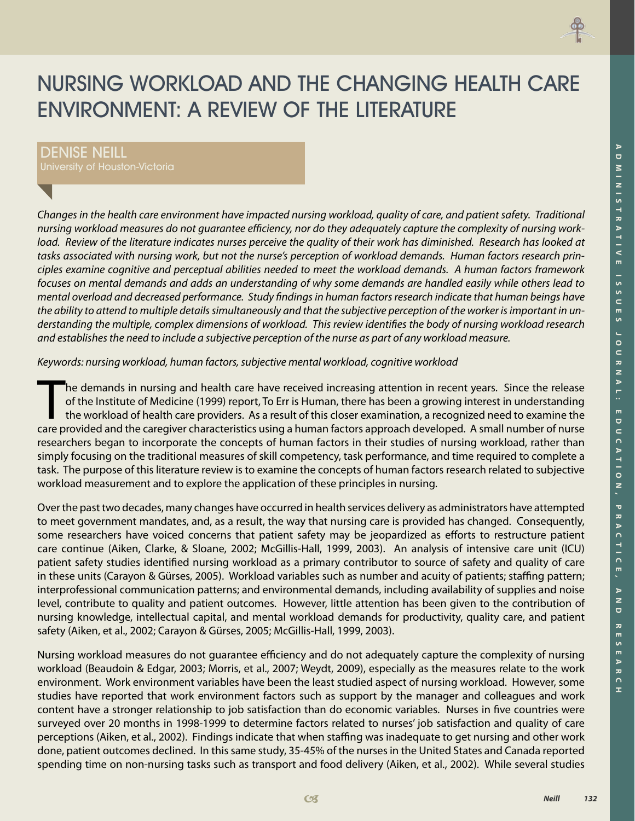

# NURSING WORKLOAD AND THE CHANGING HEALTH CARE ENVIRONMENT: A REVIEW OF THE LITERATURE

# DENISE NEILL

*Changes in the health care environment have impacted nursing workload, quality of care, and patient safety. Traditional nursing workload measures do not guarantee efficiency, nor do they adequately capture the complexity of nursing workload. Review of the literature indicates nurses perceive the quality of their work has diminished. Research has looked at tasks associated with nursing work, but not the nurse's perception of workload demands. Human factors research principles examine cognitive and perceptual abilities needed to meet the workload demands. A human factors framework focuses on mental demands and adds an understanding of why some demands are handled easily while others lead to mental overload and decreased performance. Study findings in human factors research indicate that human beings have the ability to attend to multiple details simultaneously and that the subjective perception of the worker is important in understanding the multiple, complex dimensions of workload. This review identifies the body of nursing workload research and establishes the need to include a subjective perception of the nurse as part of any workload measure.* 

*Keywords: nursing workload, human factors, subjective mental workload, cognitive workload*

The demands in nursing and health care have received increasing attention in recent years. Since the release of the Institute of Medicine (1999) report, To Err is Human, there has been a growing interest in understanding t of the Institute of Medicine (1999) report, To Err is Human, there has been a growing interest in understanding the workload of health care providers. As a result of this closer examination, a recognized need to examine the care provided and the caregiver characteristics using a human factors approach developed. A small number of nurse researchers began to incorporate the concepts of human factors in their studies of nursing workload, rather than simply focusing on the traditional measures of skill competency, task performance, and time required to complete a task. The purpose of this literature review is to examine the concepts of human factors research related to subjective workload measurement and to explore the application of these principles in nursing.

Over the past two decades, many changes have occurred in health services delivery as administrators have attempted to meet government mandates, and, as a result, the way that nursing care is provided has changed. Consequently, some researchers have voiced concerns that patient safety may be jeopardized as efforts to restructure patient care continue (Aiken, Clarke, & Sloane, 2002; McGillis-Hall, 1999, 2003). An analysis of intensive care unit (ICU) patient safety studies identified nursing workload as a primary contributor to source of safety and quality of care in these units (Carayon & Gürses, 2005). Workload variables such as number and acuity of patients; staffing pattern; interprofessional communication patterns; and environmental demands, including availability of supplies and noise level, contribute to quality and patient outcomes. However, little attention has been given to the contribution of nursing knowledge, intellectual capital, and mental workload demands for productivity, quality care, and patient safety (Aiken, et al., 2002; Carayon & Gürses, 2005; McGillis-Hall, 1999, 2003).

Nursing workload measures do not guarantee efficiency and do not adequately capture the complexity of nursing workload (Beaudoin & Edgar, 2003; Morris, et al., 2007; Weydt, 2009), especially as the measures relate to the work environment. Work environment variables have been the least studied aspect of nursing workload. However, some studies have reported that work environment factors such as support by the manager and colleagues and work content have a stronger relationship to job satisfaction than do economic variables. Nurses in five countries were surveyed over 20 months in 1998-1999 to determine factors related to nurses' job satisfaction and quality of care perceptions (Aiken, et al., 2002). Findings indicate that when staffing was inadequate to get nursing and other work done, patient outcomes declined. In this same study, 35-45% of the nurses in the United States and Canada reported spending time on non-nursing tasks such as transport and food delivery (Aiken, et al., 2002). While several studies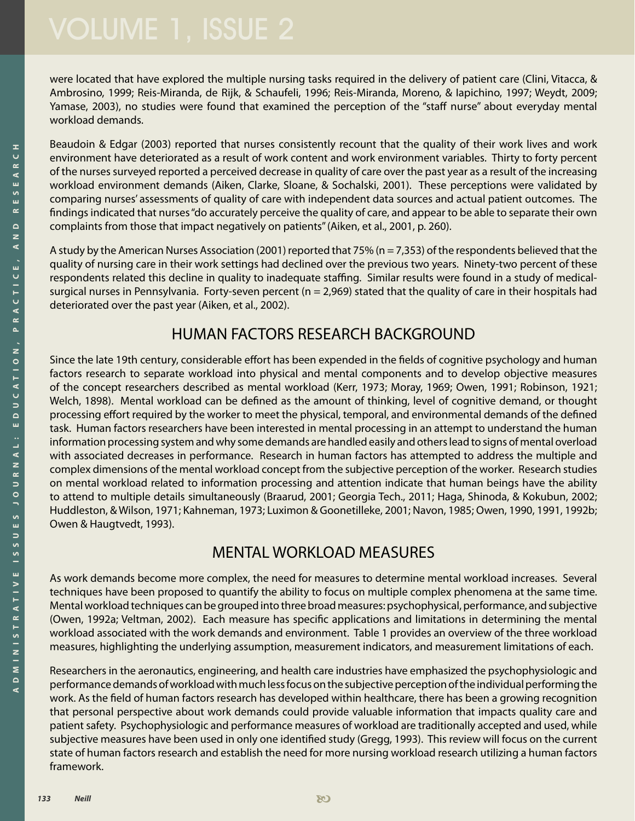were located that have explored the multiple nursing tasks required in the delivery of patient care (Clini, Vitacca, & Ambrosino, 1999; Reis-Miranda, de Rijk, & Schaufeli, 1996; Reis-Miranda, Moreno, & Iapichino, 1997; Weydt, 2009; Yamase, 2003), no studies were found that examined the perception of the "staff nurse" about everyday mental workload demands.

Beaudoin & Edgar (2003) reported that nurses consistently recount that the quality of their work lives and work environment have deteriorated as a result of work content and work environment variables. Thirty to forty percent of the nurses surveyed reported a perceived decrease in quality of care over the past year as a result of the increasing workload environment demands (Aiken, Clarke, Sloane, & Sochalski, 2001). These perceptions were validated by comparing nurses' assessments of quality of care with independent data sources and actual patient outcomes. The findings indicated that nurses "do accurately perceive the quality of care, and appear to be able to separate their own complaints from those that impact negatively on patients" (Aiken, et al., 2001, p. 260).

A study by the American Nurses Association (2001) reported that 75% (n = 7,353) of the respondents believed that the quality of nursing care in their work settings had declined over the previous two years. Ninety-two percent of these respondents related this decline in quality to inadequate staffing. Similar results were found in a study of medicalsurgical nurses in Pennsylvania. Forty-seven percent ( $n = 2,969$ ) stated that the quality of care in their hospitals had deteriorated over the past year (Aiken, et al., 2002).

# HUMAN FACTORS RESEARCH BACKGROUND

Since the late 19th century, considerable effort has been expended in the fields of cognitive psychology and human factors research to separate workload into physical and mental components and to develop objective measures of the concept researchers described as mental workload (Kerr, 1973; Moray, 1969; Owen, 1991; Robinson, 1921; Welch, 1898). Mental workload can be defined as the amount of thinking, level of cognitive demand, or thought processing effort required by the worker to meet the physical, temporal, and environmental demands of the defined task. Human factors researchers have been interested in mental processing in an attempt to understand the human information processing system and why some demands are handled easily and others lead to signs of mental overload with associated decreases in performance. Research in human factors has attempted to address the multiple and complex dimensions of the mental workload concept from the subjective perception of the worker. Research studies on mental workload related to information processing and attention indicate that human beings have the ability to attend to multiple details simultaneously (Braarud, 2001; Georgia Tech., 2011; Haga, Shinoda, & Kokubun, 2002; Huddleston, & Wilson, 1971; Kahneman, 1973; Luximon & Goonetilleke, 2001; Navon, 1985; Owen, 1990, 1991, 1992b; Owen & Haugtvedt, 1993).

# MENTAL WORKLOAD MEASURES

As work demands become more complex, the need for measures to determine mental workload increases. Several techniques have been proposed to quantify the ability to focus on multiple complex phenomena at the same time. Mental workload techniques can be grouped into three broad measures: psychophysical, performance, and subjective (Owen, 1992a; Veltman, 2002). Each measure has specific applications and limitations in determining the mental workload associated with the work demands and environment. Table 1 provides an overview of the three workload measures, highlighting the underlying assumption, measurement indicators, and measurement limitations of each.

Researchers in the aeronautics, engineering, and health care industries have emphasized the psychophysiologic and performance demands of workload with much less focus on the subjective perception of the individual performing the work. As the field of human factors research has developed within healthcare, there has been a growing recognition that personal perspective about work demands could provide valuable information that impacts quality care and patient safety. Psychophysiologic and performance measures of workload are traditionally accepted and used, while subjective measures have been used in only one identified study (Gregg, 1993). This review will focus on the current state of human factors research and establish the need for more nursing workload research utilizing a human factors framework.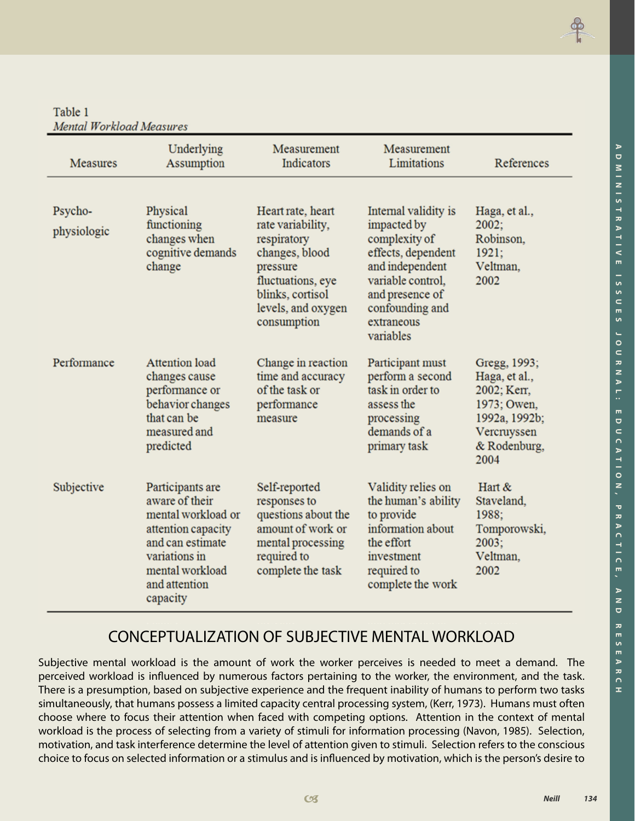Table 1 **Mental Workload Measures** 

| <b>Measures</b>        | Underlying<br>Assumption                                                                                                                                            | Measurement<br>Indicators                                                                                                                                         | Measurement<br>Limitations                                                                                                                                                          | References                                                                                                          |
|------------------------|---------------------------------------------------------------------------------------------------------------------------------------------------------------------|-------------------------------------------------------------------------------------------------------------------------------------------------------------------|-------------------------------------------------------------------------------------------------------------------------------------------------------------------------------------|---------------------------------------------------------------------------------------------------------------------|
| Psycho-<br>physiologic | Physical<br>functioning<br>changes when<br>cognitive demands<br>change                                                                                              | Heart rate, heart<br>rate variability,<br>respiratory<br>changes, blood<br>pressure<br>fluctuations, eye<br>blinks, cortisol<br>levels, and oxygen<br>consumption | Internal validity is<br>impacted by<br>complexity of<br>effects, dependent<br>and independent<br>variable control.<br>and presence of<br>confounding and<br>extraneous<br>variables | Haga, et al.,<br>2002:<br>Robinson.<br>1921;<br>Veltman,<br>2002                                                    |
| Performance            | <b>Attention</b> load<br>changes cause<br>performance or<br>behavior changes<br>that can be<br>measured and<br>predicted                                            | Change in reaction<br>time and accuracy<br>of the task or<br>performance<br>measure                                                                               | Participant must<br>perform a second<br>task in order to<br>assess the<br>processing<br>demands of a<br>primary task                                                                | Gregg, 1993;<br>Haga, et al.,<br>2002; Kerr,<br>1973; Owen,<br>1992a, 1992b;<br>Vercruyssen<br>& Rodenburg,<br>2004 |
| Subjective             | Participants are<br>aware of their<br>mental workload or<br>attention capacity<br>and can estimate<br>variations in<br>mental workload<br>and attention<br>capacity | Self-reported<br>responses to<br>questions about the<br>amount of work or<br>mental processing<br>required to<br>complete the task                                | Validity relies on<br>the human's ability<br>to provide<br>information about<br>the effort<br>investment<br>required to<br>complete the work                                        | Hart &<br>Staveland,<br>1988;<br>Tomporowski,<br>2003:<br>Veltman,<br>2002                                          |

# CONCEPTUALIZATION OF SUBJECTIVE MENTAL WORKLOAD

Subjective mental workload is the amount of work the worker perceives is needed to meet a demand. The perceived workload is influenced by numerous factors pertaining to the worker, the environment, and the task. There is a presumption, based on subjective experience and the frequent inability of humans to perform two tasks simultaneously, that humans possess a limited capacity central processing system, (Kerr, 1973). Humans must often choose where to focus their attention when faced with competing options. Attention in the context of mental workload is the process of selecting from a variety of stimuli for information processing (Navon, 1985). Selection, motivation, and task interference determine the level of attention given to stimuli. Selection refers to the conscious choice to focus on selected information or a stimulus and is influenced by motivation, which is the person's desire to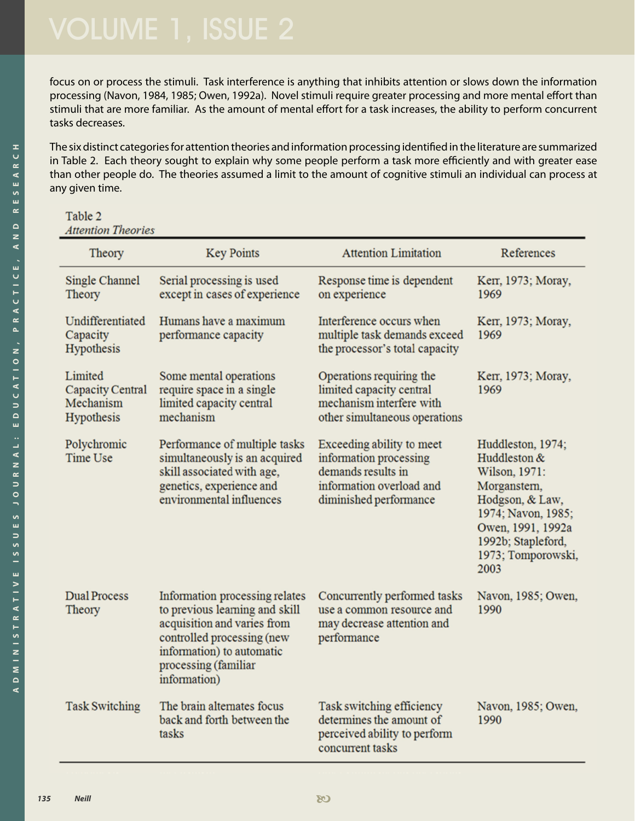focus on or process the stimuli. Task interference is anything that inhibits attention or slows down the information processing (Navon, 1984, 1985; Owen, 1992a). Novel stimuli require greater processing and more mental effort than stimuli that are more familiar. As the amount of mental effort for a task increases, the ability to perform concurrent tasks decreases.

The six distinct categories for attention theories and information processing identified in the literature are summarized in Table 2. Each theory sought to explain why some people perform a task more efficiently and with greater ease than other people do. The theories assumed a limit to the amount of cognitive stimuli an individual can process at any given time.

| Table 2            |  |
|--------------------|--|
| Attention Theories |  |

| Theory                                                        | <b>Key Points</b>                                                                                                                                                                                  | <b>Attention Limitation</b>                                                                                                     | References                                                                                                                                                                           |
|---------------------------------------------------------------|----------------------------------------------------------------------------------------------------------------------------------------------------------------------------------------------------|---------------------------------------------------------------------------------------------------------------------------------|--------------------------------------------------------------------------------------------------------------------------------------------------------------------------------------|
| Single Channel<br>Theory                                      | Serial processing is used<br>except in cases of experience                                                                                                                                         | Response time is dependent<br>on experience                                                                                     | Kerr, 1973; Moray,<br>1969                                                                                                                                                           |
| Undifferentiated<br>Capacity<br>Hypothesis                    | Humans have a maximum<br>performance capacity                                                                                                                                                      | Interference occurs when<br>multiple task demands exceed<br>the processor's total capacity                                      | Kerr, 1973; Moray,<br>1969                                                                                                                                                           |
| Limited<br><b>Capacity Central</b><br>Mechanism<br>Hypothesis | Some mental operations<br>require space in a single<br>limited capacity central<br>mechanism                                                                                                       | Operations requiring the<br>limited capacity central<br>mechanism interfere with<br>other simultaneous operations               | Kerr, 1973; Moray,<br>1969                                                                                                                                                           |
| Polychromic<br>Time Use                                       | Performance of multiple tasks<br>simultaneously is an acquired<br>skill associated with age,<br>genetics, experience and<br>environmental influences                                               | Exceeding ability to meet<br>information processing<br>demands results in<br>information overload and<br>diminished performance | Huddleston, 1974;<br>Huddleston &<br>Wilson, 1971:<br>Morganstern,<br>Hodgson, & Law,<br>1974; Navon, 1985;<br>Owen, 1991, 1992a<br>1992b; Stapleford,<br>1973; Tomporowski,<br>2003 |
| <b>Dual Process</b><br>Theory                                 | Information processing relates<br>to previous learning and skill<br>acquisition and varies from<br>controlled processing (new<br>information) to automatic<br>processing (familiar<br>information) | Concurrently performed tasks<br>use a common resource and<br>may decrease attention and<br>performance                          | Navon, 1985; Owen,<br>1990                                                                                                                                                           |
| <b>Task Switching</b>                                         | The brain alternates focus<br>back and forth between the<br>tasks                                                                                                                                  | Task switching efficiency<br>determines the amount of<br>perceived ability to perform<br>concurrent tasks                       | Navon, 1985; Owen,<br>1990                                                                                                                                                           |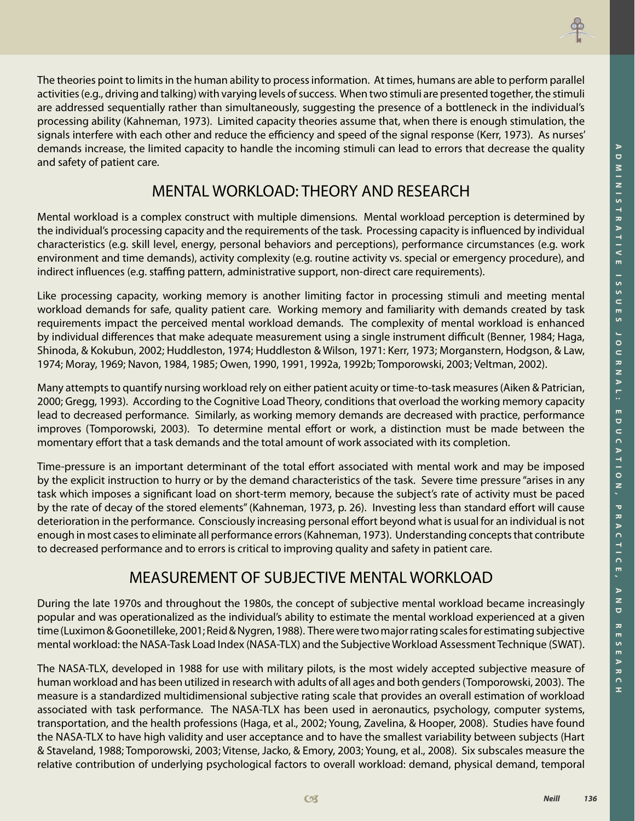

The theories point to limits in the human ability to process information. At times, humans are able to perform parallel activities (e.g., driving and talking) with varying levels of success. When two stimuli are presented together, the stimuli are addressed sequentially rather than simultaneously, suggesting the presence of a bottleneck in the individual's processing ability (Kahneman, 1973). Limited capacity theories assume that, when there is enough stimulation, the signals interfere with each other and reduce the efficiency and speed of the signal response (Kerr, 1973). As nurses' demands increase, the limited capacity to handle the incoming stimuli can lead to errors that decrease the quality and safety of patient care.

# MENTAL WORKLOAD: THEORY AND RESEARCH

Mental workload is a complex construct with multiple dimensions. Mental workload perception is determined by the individual's processing capacity and the requirements of the task. Processing capacity is influenced by individual characteristics (e.g. skill level, energy, personal behaviors and perceptions), performance circumstances (e.g. work environment and time demands), activity complexity (e.g. routine activity vs. special or emergency procedure), and indirect influences (e.g. staffing pattern, administrative support, non-direct care requirements).

Like processing capacity, working memory is another limiting factor in processing stimuli and meeting mental workload demands for safe, quality patient care. Working memory and familiarity with demands created by task requirements impact the perceived mental workload demands. The complexity of mental workload is enhanced by individual differences that make adequate measurement using a single instrument difficult (Benner, 1984; Haga, Shinoda, & Kokubun, 2002; Huddleston, 1974; Huddleston & Wilson, 1971: Kerr, 1973; Morganstern, Hodgson, & Law, 1974; Moray, 1969; Navon, 1984, 1985; Owen, 1990, 1991, 1992a, 1992b; Tomporowski, 2003; Veltman, 2002).

Many attempts to quantify nursing workload rely on either patient acuity or time-to-task measures (Aiken & Patrician, 2000; Gregg, 1993). According to the Cognitive Load Theory, conditions that overload the working memory capacity lead to decreased performance. Similarly, as working memory demands are decreased with practice, performance improves (Tomporowski, 2003). To determine mental effort or work, a distinction must be made between the momentary effort that a task demands and the total amount of work associated with its completion.

Time-pressure is an important determinant of the total effort associated with mental work and may be imposed by the explicit instruction to hurry or by the demand characteristics of the task. Severe time pressure "arises in any task which imposes a significant load on short-term memory, because the subject's rate of activity must be paced by the rate of decay of the stored elements" (Kahneman, 1973, p. 26). Investing less than standard effort will cause deterioration in the performance. Consciously increasing personal effort beyond what is usual for an individual is not enough in most cases to eliminate all performance errors (Kahneman, 1973). Understanding concepts that contribute to decreased performance and to errors is critical to improving quality and safety in patient care.

# MEASUREMENT OF SUBJECTIVE MENTAL WORKLOAD

During the late 1970s and throughout the 1980s, the concept of subjective mental workload became increasingly popular and was operationalized as the individual's ability to estimate the mental workload experienced at a given time (Luximon & Goonetilleke, 2001; Reid & Nygren, 1988). There were two major rating scales for estimating subjective mental workload: the NASA-Task Load Index (NASA-TLX) and the Subjective Workload Assessment Technique (SWAT).

The NASA-TLX, developed in 1988 for use with military pilots, is the most widely accepted subjective measure of human workload and has been utilized in research with adults of all ages and both genders (Tomporowski, 2003). The measure is a standardized multidimensional subjective rating scale that provides an overall estimation of workload associated with task performance. The NASA-TLX has been used in aeronautics, psychology, computer systems, transportation, and the health professions (Haga, et al., 2002; Young, Zavelina, & Hooper, 2008). Studies have found the NASA-TLX to have high validity and user acceptance and to have the smallest variability between subjects (Hart & Staveland, 1988; Tomporowski, 2003; Vitense, Jacko, & Emory, 2003; Young, et al., 2008). Six subscales measure the relative contribution of underlying psychological factors to overall workload: demand, physical demand, temporal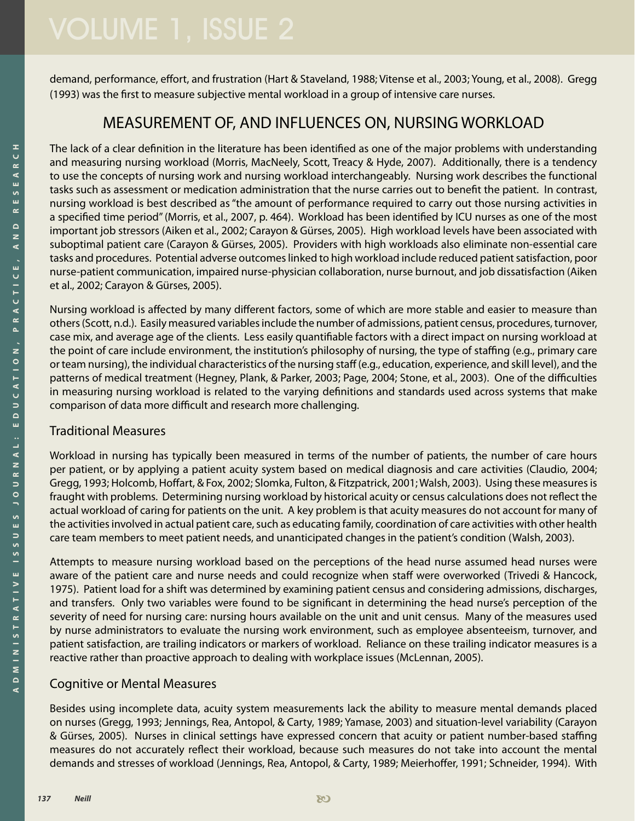demand, performance, effort, and frustration (Hart & Staveland, 1988; Vitense et al., 2003; Young, et al., 2008). Gregg (1993) was the first to measure subjective mental workload in a group of intensive care nurses.

# MEASUREMENT OF, AND INFLUENCES ON, NURSING WORKLOAD

The lack of a clear definition in the literature has been identified as one of the major problems with understanding and measuring nursing workload (Morris, MacNeely, Scott, Treacy & Hyde, 2007). Additionally, there is a tendency to use the concepts of nursing work and nursing workload interchangeably. Nursing work describes the functional tasks such as assessment or medication administration that the nurse carries out to benefit the patient. In contrast, nursing workload is best described as "the amount of performance required to carry out those nursing activities in a specified time period" (Morris, et al., 2007, p. 464). Workload has been identified by ICU nurses as one of the most important job stressors (Aiken et al., 2002; Carayon & Gürses, 2005). High workload levels have been associated with suboptimal patient care (Carayon & Gürses, 2005). Providers with high workloads also eliminate non-essential care tasks and procedures. Potential adverse outcomes linked to high workload include reduced patient satisfaction, poor nurse-patient communication, impaired nurse-physician collaboration, nurse burnout, and job dissatisfaction (Aiken et al., 2002; Carayon & Gürses, 2005).

Nursing workload is affected by many different factors, some of which are more stable and easier to measure than others (Scott, n.d.). Easily measured variables include the number of admissions, patient census, procedures, turnover, case mix, and average age of the clients. Less easily quantifiable factors with a direct impact on nursing workload at the point of care include environment, the institution's philosophy of nursing, the type of staffing (e.g., primary care or team nursing), the individual characteristics of the nursing staff (e.g., education, experience, and skill level), and the patterns of medical treatment (Hegney, Plank, & Parker, 2003; Page, 2004; Stone, et al., 2003). One of the difficulties in measuring nursing workload is related to the varying definitions and standards used across systems that make comparison of data more difficult and research more challenging.

#### Traditional Measures

Workload in nursing has typically been measured in terms of the number of patients, the number of care hours per patient, or by applying a patient acuity system based on medical diagnosis and care activities (Claudio, 2004; Gregg, 1993; Holcomb, Hoffart, & Fox, 2002; Slomka, Fulton, & Fitzpatrick, 2001; Walsh, 2003). Using these measures is fraught with problems. Determining nursing workload by historical acuity or census calculations does not reflect the actual workload of caring for patients on the unit. A key problem is that acuity measures do not account for many of the activities involved in actual patient care, such as educating family, coordination of care activities with other health care team members to meet patient needs, and unanticipated changes in the patient's condition (Walsh, 2003).

Attempts to measure nursing workload based on the perceptions of the head nurse assumed head nurses were aware of the patient care and nurse needs and could recognize when staff were overworked (Trivedi & Hancock, 1975). Patient load for a shift was determined by examining patient census and considering admissions, discharges, and transfers. Only two variables were found to be significant in determining the head nurse's perception of the severity of need for nursing care: nursing hours available on the unit and unit census. Many of the measures used by nurse administrators to evaluate the nursing work environment, such as employee absenteeism, turnover, and patient satisfaction, are trailing indicators or markers of workload. Reliance on these trailing indicator measures is a reactive rather than proactive approach to dealing with workplace issues (McLennan, 2005).

### Cognitive or Mental Measures

Besides using incomplete data, acuity system measurements lack the ability to measure mental demands placed on nurses (Gregg, 1993; Jennings, Rea, Antopol, & Carty, 1989; Yamase, 2003) and situation-level variability (Carayon & Gürses, 2005). Nurses in clinical settings have expressed concern that acuity or patient number-based staffing measures do not accurately reflect their workload, because such measures do not take into account the mental demands and stresses of workload (Jennings, Rea, Antopol, & Carty, 1989; Meierhoffer, 1991; Schneider, 1994). With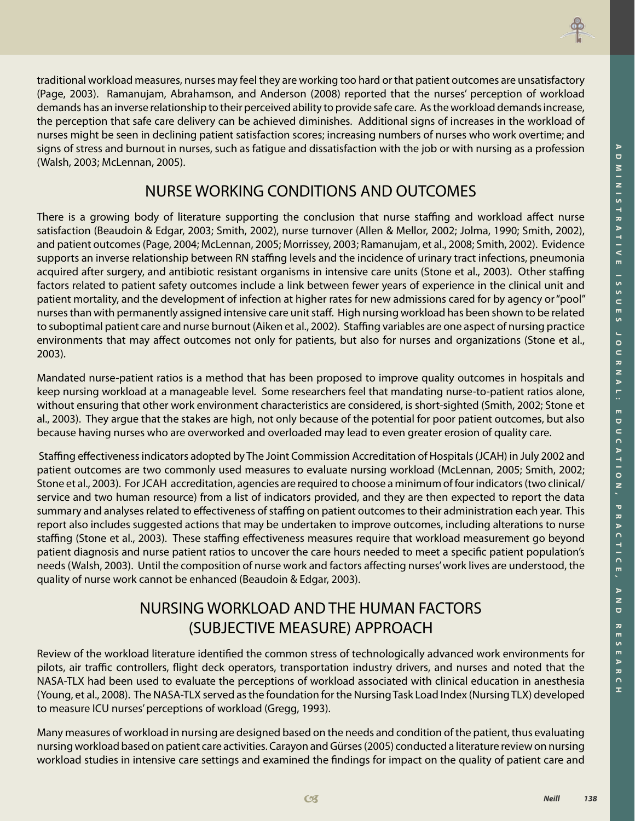

traditional workload measures, nurses may feel they are working too hard or that patient outcomes are unsatisfactory (Page, 2003). Ramanujam, Abrahamson, and Anderson (2008) reported that the nurses' perception of workload demands has an inverse relationship to their perceived ability to provide safe care. As the workload demands increase, the perception that safe care delivery can be achieved diminishes. Additional signs of increases in the workload of nurses might be seen in declining patient satisfaction scores; increasing numbers of nurses who work overtime; and signs of stress and burnout in nurses, such as fatigue and dissatisfaction with the job or with nursing as a profession (Walsh, 2003; McLennan, 2005).

# NURSE WORKING CONDITIONS AND OUTCOMES

There is a growing body of literature supporting the conclusion that nurse staffing and workload affect nurse satisfaction (Beaudoin & Edgar, 2003; Smith, 2002), nurse turnover (Allen & Mellor, 2002; Jolma, 1990; Smith, 2002), and patient outcomes (Page, 2004; McLennan, 2005; Morrissey, 2003; Ramanujam, et al., 2008; Smith, 2002). Evidence supports an inverse relationship between RN staffing levels and the incidence of urinary tract infections, pneumonia acquired after surgery, and antibiotic resistant organisms in intensive care units (Stone et al., 2003). Other staffing factors related to patient safety outcomes include a link between fewer years of experience in the clinical unit and patient mortality, and the development of infection at higher rates for new admissions cared for by agency or "pool" nurses than with permanently assigned intensive care unit staff. High nursing workload has been shown to be related to suboptimal patient care and nurse burnout (Aiken et al., 2002). Staffing variables are one aspect of nursing practice environments that may affect outcomes not only for patients, but also for nurses and organizations (Stone et al., 2003).

Mandated nurse-patient ratios is a method that has been proposed to improve quality outcomes in hospitals and keep nursing workload at a manageable level. Some researchers feel that mandating nurse-to-patient ratios alone, without ensuring that other work environment characteristics are considered, is short-sighted (Smith, 2002; Stone et al., 2003). They argue that the stakes are high, not only because of the potential for poor patient outcomes, but also because having nurses who are overworked and overloaded may lead to even greater erosion of quality care.

 Staffing effectiveness indicators adopted by The Joint Commission Accreditation of Hospitals (JCAH) in July 2002 and patient outcomes are two commonly used measures to evaluate nursing workload (McLennan, 2005; Smith, 2002; Stone et al., 2003). For JCAH accreditation, agencies are required to choose a minimum of four indicators (two clinical/ service and two human resource) from a list of indicators provided, and they are then expected to report the data summary and analyses related to effectiveness of staffing on patient outcomes to their administration each year. This report also includes suggested actions that may be undertaken to improve outcomes, including alterations to nurse staffing (Stone et al., 2003). These staffing effectiveness measures require that workload measurement go beyond patient diagnosis and nurse patient ratios to uncover the care hours needed to meet a specific patient population's needs (Walsh, 2003). Until the composition of nurse work and factors affecting nurses' work lives are understood, the quality of nurse work cannot be enhanced (Beaudoin & Edgar, 2003).

# NURSING WORKLOAD AND THE HUMAN FACTORS (SUBJECTIVE MEASURE) APPROACH

Review of the workload literature identified the common stress of technologically advanced work environments for pilots, air traffic controllers, flight deck operators, transportation industry drivers, and nurses and noted that the NASA-TLX had been used to evaluate the perceptions of workload associated with clinical education in anesthesia (Young, et al., 2008). The NASA-TLX served as the foundation for the Nursing Task Load Index (Nursing TLX) developed to measure ICU nurses' perceptions of workload (Gregg, 1993).

Many measures of workload in nursing are designed based on the needs and condition of the patient, thus evaluating nursing workload based on patient care activities. Carayon and Gürses (2005) conducted a literature review on nursing workload studies in intensive care settings and examined the findings for impact on the quality of patient care and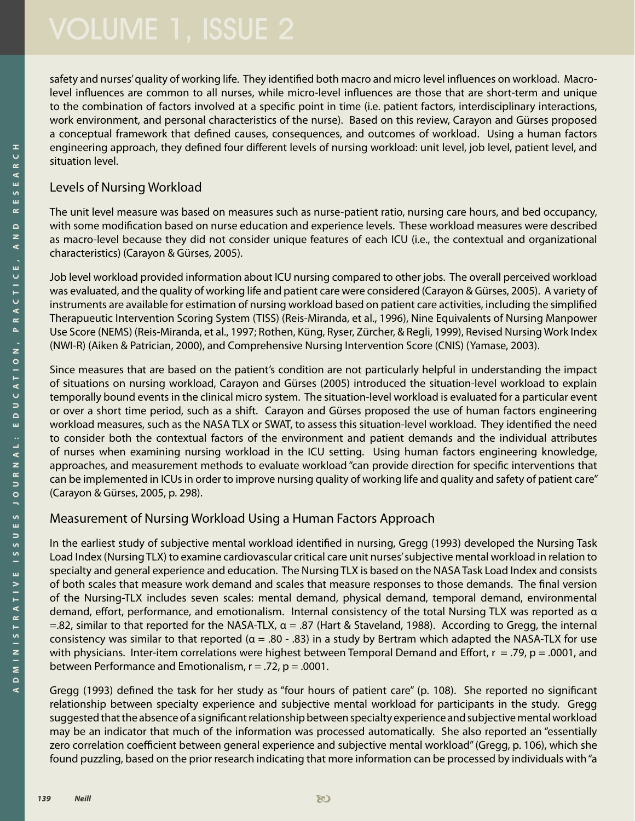safety and nurses' quality of working life. They identified both macro and micro level influences on workload. Macrolevel influences are common to all nurses, while micro-level influences are those that are short-term and unique to the combination of factors involved at a specific point in time (i.e. patient factors, interdisciplinary interactions, work environment, and personal characteristics of the nurse). Based on this review, Carayon and Gürses proposed a conceptual framework that defined causes, consequences, and outcomes of workload. Using a human factors engineering approach, they defined four different levels of nursing workload: unit level, job level, patient level, and situation level.

#### Levels of Nursing Workload

The unit level measure was based on measures such as nurse-patient ratio, nursing care hours, and bed occupancy, with some modification based on nurse education and experience levels. These workload measures were described as macro-level because they did not consider unique features of each ICU (i.e., the contextual and organizational characteristics) (Carayon & Gürses, 2005).

Job level workload provided information about ICU nursing compared to other jobs. The overall perceived workload was evaluated, and the quality of working life and patient care were considered (Carayon & Gürses, 2005). A variety of instruments are available for estimation of nursing workload based on patient care activities, including the simplified Therapueutic Intervention Scoring System (TISS) (Reis-Miranda, et al., 1996), Nine Equivalents of Nursing Manpower Use Score (NEMS) (Reis-Miranda, et al., 1997; Rothen, Küng, Ryser, Zürcher, & Regli, 1999), Revised Nursing Work Index (NWI-R) (Aiken & Patrician, 2000), and Comprehensive Nursing Intervention Score (CNIS) (Yamase, 2003).

Since measures that are based on the patient's condition are not particularly helpful in understanding the impact of situations on nursing workload, Carayon and Gürses (2005) introduced the situation-level workload to explain temporally bound events in the clinical micro system. The situation-level workload is evaluated for a particular event or over a short time period, such as a shift. Carayon and Gürses proposed the use of human factors engineering workload measures, such as the NASA TLX or SWAT, to assess this situation-level workload. They identified the need to consider both the contextual factors of the environment and patient demands and the individual attributes of nurses when examining nursing workload in the ICU setting. Using human factors engineering knowledge, approaches, and measurement methods to evaluate workload "can provide direction for specific interventions that can be implemented in ICUs in order to improve nursing quality of working life and quality and safety of patient care" (Carayon & Gürses, 2005, p. 298).

### Measurement of Nursing Workload Using a Human Factors Approach

In the earliest study of subjective mental workload identified in nursing, Gregg (1993) developed the Nursing Task Load Index (Nursing TLX) to examine cardiovascular critical care unit nurses' subjective mental workload in relation to specialty and general experience and education. The Nursing TLX is based on the NASA Task Load Index and consists of both scales that measure work demand and scales that measure responses to those demands. The final version of the Nursing-TLX includes seven scales: mental demand, physical demand, temporal demand, environmental demand, effort, performance, and emotionalism. Internal consistency of the total Nursing TLX was reported as α  $=$ .82, similar to that reported for the NASA-TLX,  $\alpha$  = .87 (Hart & Staveland, 1988). According to Gregg, the internal consistency was similar to that reported ( $\alpha = 0.80 - 0.83$ ) in a study by Bertram which adapted the NASA-TLX for use with physicians. Inter-item correlations were highest between Temporal Demand and Effort,  $r = .79$ ,  $p = .0001$ , and between Performance and Emotionalism,  $r = .72$ ,  $p = .0001$ .

Gregg (1993) defined the task for her study as "four hours of patient care" (p. 108). She reported no significant relationship between specialty experience and subjective mental workload for participants in the study. Gregg suggested that the absence of a significant relationship between specialty experience and subjective mental workload may be an indicator that much of the information was processed automatically. She also reported an "essentially zero correlation coefficient between general experience and subjective mental workload" (Gregg, p. 106), which she found puzzling, based on the prior research indicating that more information can be processed by individuals with "a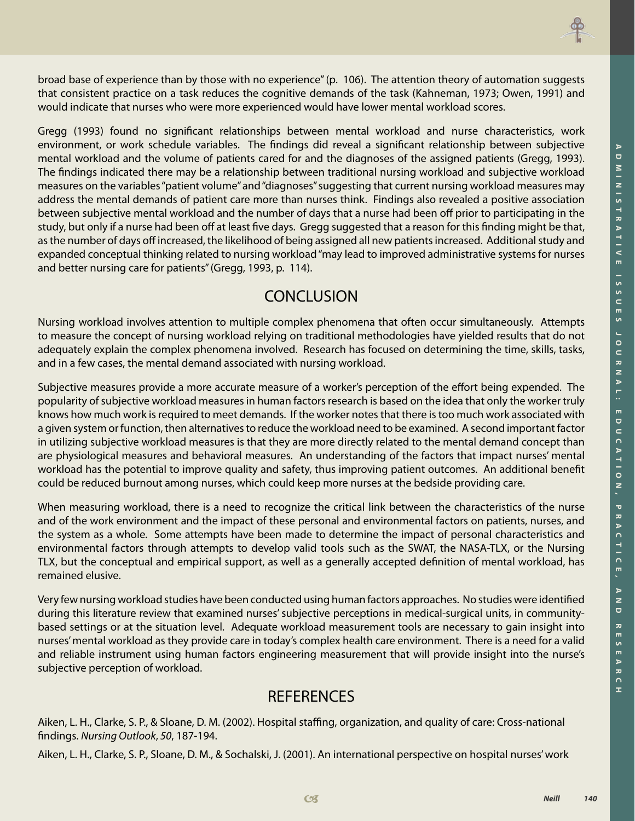

broad base of experience than by those with no experience" (p. 106). The attention theory of automation suggests that consistent practice on a task reduces the cognitive demands of the task (Kahneman, 1973; Owen, 1991) and would indicate that nurses who were more experienced would have lower mental workload scores.

Gregg (1993) found no significant relationships between mental workload and nurse characteristics, work environment, or work schedule variables. The findings did reveal a significant relationship between subjective mental workload and the volume of patients cared for and the diagnoses of the assigned patients (Gregg, 1993). The findings indicated there may be a relationship between traditional nursing workload and subjective workload measures on the variables "patient volume" and "diagnoses" suggesting that current nursing workload measures may address the mental demands of patient care more than nurses think. Findings also revealed a positive association between subjective mental workload and the number of days that a nurse had been off prior to participating in the study, but only if a nurse had been off at least five days. Gregg suggested that a reason for this finding might be that, as the number of days off increased, the likelihood of being assigned all new patients increased. Additional study and expanded conceptual thinking related to nursing workload "may lead to improved administrative systems for nurses and better nursing care for patients" (Gregg, 1993, p. 114).

## **CONCLUSION**

Nursing workload involves attention to multiple complex phenomena that often occur simultaneously. Attempts to measure the concept of nursing workload relying on traditional methodologies have yielded results that do not adequately explain the complex phenomena involved. Research has focused on determining the time, skills, tasks, and in a few cases, the mental demand associated with nursing workload.

Subjective measures provide a more accurate measure of a worker's perception of the effort being expended. The popularity of subjective workload measures in human factors research is based on the idea that only the worker truly knows how much work is required to meet demands. If the worker notes that there is too much work associated with a given system or function, then alternatives to reduce the workload need to be examined. A second important factor in utilizing subjective workload measures is that they are more directly related to the mental demand concept than are physiological measures and behavioral measures. An understanding of the factors that impact nurses' mental workload has the potential to improve quality and safety, thus improving patient outcomes. An additional benefit could be reduced burnout among nurses, which could keep more nurses at the bedside providing care.

When measuring workload, there is a need to recognize the critical link between the characteristics of the nurse and of the work environment and the impact of these personal and environmental factors on patients, nurses, and the system as a whole. Some attempts have been made to determine the impact of personal characteristics and environmental factors through attempts to develop valid tools such as the SWAT, the NASA-TLX, or the Nursing TLX, but the conceptual and empirical support, as well as a generally accepted definition of mental workload, has remained elusive.

Very few nursing workload studies have been conducted using human factors approaches. No studies were identified during this literature review that examined nurses' subjective perceptions in medical-surgical units, in communitybased settings or at the situation level. Adequate workload measurement tools are necessary to gain insight into nurses' mental workload as they provide care in today's complex health care environment. There is a need for a valid and reliable instrument using human factors engineering measurement that will provide insight into the nurse's subjective perception of workload.

# **REFERENCES**

Aiken, L. H., Clarke, S. P., & Sloane, D. M. (2002). Hospital staffing, organization, and quality of care: Cross-national findings. *Nursing Outlook*, *50*, 187-194.

Aiken, L. H., Clarke, S. P., Sloane, D. M., & Sochalski, J. (2001). An international perspective on hospital nurses' work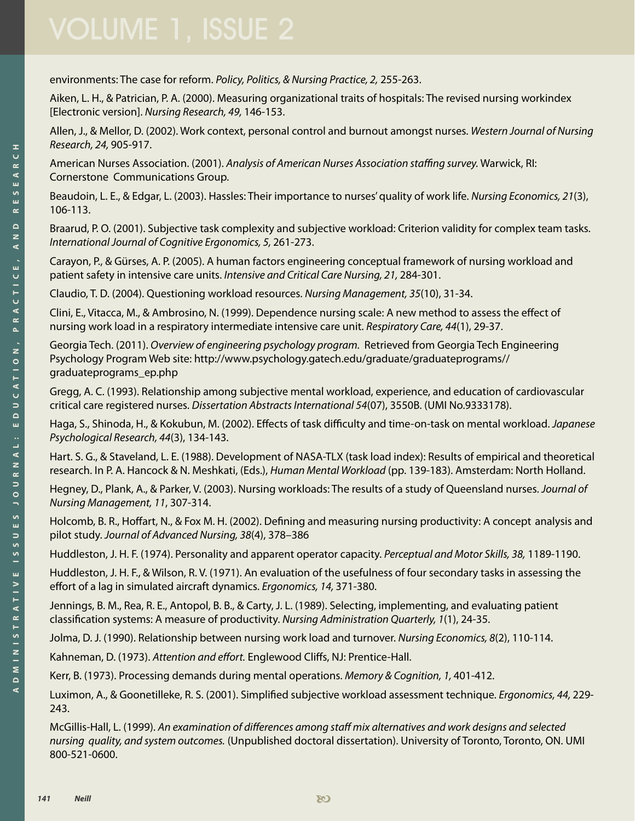environments: The case for reform. *Policy, Politics, & Nursing Practice, 2,* 255-263.

Aiken, L. H., & Patrician, P. A. (2000). Measuring organizational traits of hospitals: The revised nursing workindex [Electronic version]. *Nursing Research, 49,* 146-153.

Allen, J., & Mellor, D. (2002). Work context, personal control and burnout amongst nurses. *Western Journal of Nursing Research, 24,* 905-917.

American Nurses Association. (2001). *Analysis of American Nurses Association staffing survey.* Warwick, RI: Cornerstone Communications Group.

Beaudoin, L. E., & Edgar, L. (2003). Hassles: Their importance to nurses' quality of work life. *Nursing Economics, 21*(3), 106-113.

Braarud, P. O. (2001). Subjective task complexity and subjective workload: Criterion validity for complex team tasks. *International Journal of Cognitive Ergonomics, 5,* 261-273.

Carayon, P., & Gürses, A. P. (2005). A human factors engineering conceptual framework of nursing workload and patient safety in intensive care units. *Intensive and Critical Care Nursing, 21,* 284-301.

Claudio, T. D. (2004). Questioning workload resources. *Nursing Management, 35*(10), 31-34.

Clini, E., Vitacca, M., & Ambrosino, N. (1999). Dependence nursing scale: A new method to assess the effect of nursing work load in a respiratory intermediate intensive care unit. *Respiratory Care, 44*(1), 29-37.

Georgia Tech. (2011). *Overview of engineering psychology program.* Retrieved from Georgia Tech Engineering Psychology Program Web site: [http://www.psychology.gatech.edu/graduate/graduateprograms//](http://www.psychology.gatech.edu/graduate/
	graduateprograms//graduateprograms_ep.php
) [graduateprograms\\_ep.php](http://www.psychology.gatech.edu/graduate/
	graduateprograms//graduateprograms_ep.php
)

Gregg, A. C. (1993). Relationship among subjective mental workload, experience, and education of cardiovascular critical care registered nurses. *Dissertation Abstracts International 54*(07), 3550B. (UMI No.9333178).

Haga, S., Shinoda, H., & Kokubun, M. (2002). Effects of task difficulty and time-on-task on mental workload. *Japanese Psychological Research, 44*(3), 134-143.

Hart. S. G., & Staveland, L. E. (1988). Development of NASA-TLX (task load index): Results of empirical and theoretical research. In P. A. Hancock & N. Meshkati, (Eds.), *Human Mental Workload* (pp. 139-183). Amsterdam: North Holland.

Hegney, D., Plank, A., & Parker, V. (2003). Nursing workloads: The results of a study of Queensland nurses. *Journal of Nursing Management, 11*, 307-314.

Holcomb, B. R., Hoffart, N., & Fox M. H. (2002). Defining and measuring nursing productivity: A concept analysis and pilot study. *Journal of Advanced Nursing, 38*(4), 378–386

Huddleston, J. H. F. (1974). Personality and apparent operator capacity. *Perceptual and Motor Skills, 38,* 1189-1190.

Huddleston, J. H. F., & Wilson, R. V. (1971). An evaluation of the usefulness of four secondary tasks in assessing the effort of a lag in simulated aircraft dynamics. *Ergonomics, 14,* 371-380.

Jennings, B. M., Rea, R. E., Antopol, B. B., & Carty, J. L. (1989). Selecting, implementing, and evaluating patient classification systems: A measure of productivity. *Nursing Administration Quarterly, 1*(1), 24-35.

Jolma, D. J. (1990). Relationship between nursing work load and turnover. *Nursing Economics, 8*(2), 110-114.

Kahneman, D. (1973). *Attention and effort.* Englewood Cliffs, NJ: Prentice-Hall.

Kerr, B. (1973). Processing demands during mental operations. *Memory & Cognition, 1,* 401-412.

Luximon, A., & Goonetilleke, R. S. (2001). Simplified subjective workload assessment technique. *Ergonomics, 44,* 229- 243.

McGillis-Hall, L. (1999). *An examination of differences among staff mix alternatives and work designs and selected nursing quality, and system outcomes.* (Unpublished doctoral dissertation). University of Toronto, Toronto, ON. UMI 800-521-0600.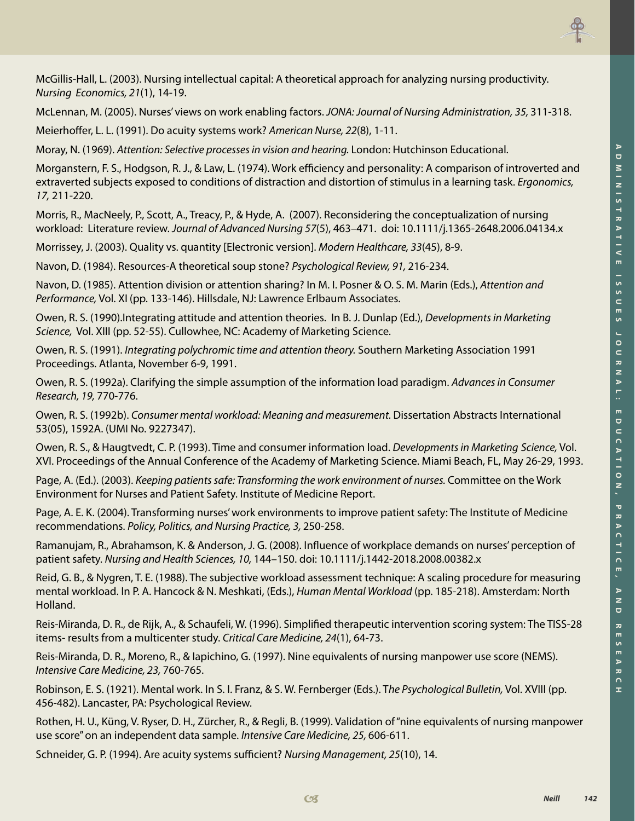

McGillis-Hall, L. (2003). Nursing intellectual capital: A theoretical approach for analyzing nursing productivity. *Nursing Economics, 21*(1), 14-19.

McLennan, M. (2005). Nurses' views on work enabling factors. *JONA: Journal of Nursing Administration, 35,* 311-318.

Meierhoffer, L. L. (1991). Do acuity systems work? *American Nurse, 22*(8), 1-11.

Moray, N. (1969). *Attention: Selective processes in vision and hearing.* London: Hutchinson Educational.

Morganstern, F. S., Hodgson, R. J., & Law, L. (1974). Work efficiency and personality: A comparison of introverted and extraverted subjects exposed to conditions of distraction and distortion of stimulus in a learning task. *Ergonomics, 17,* 211-220.

Morris, R., MacNeely, P., Scott, A., Treacy, P., & Hyde, A. (2007). Reconsidering the conceptualization of nursing workload: Literature review. *Journal of Advanced Nursing 57*(5), 463–471. doi: 10.1111/j.1365-2648.2006.04134.x

Morrissey, J. (2003). Quality vs. quantity [Electronic version]. *Modern Healthcare, 33*(45), 8-9.

Navon, D. (1984). Resources-A theoretical soup stone? *Psychological Review, 91,* 216-234.

Navon, D. (1985). Attention division or attention sharing? In M. I. Posner & O. S. M. Marin (Eds.), *Attention and Performance,* Vol. XI (pp. 133-146). Hillsdale, NJ: Lawrence Erlbaum Associates.

Owen, R. S. (1990).Integrating attitude and attention theories. In B. J. Dunlap (Ed.), *Developments in Marketing Science,* Vol. XIII (pp. 52-55). Cullowhee, NC: Academy of Marketing Science.

Owen, R. S. (1991). *Integrating polychromic time and attention theory.* Southern Marketing Association 1991 Proceedings. Atlanta, November 6-9, 1991.

Owen, R. S. (1992a). Clarifying the simple assumption of the information load paradigm. *Advances in Consumer Research, 19,* 770-776.

Owen, R. S. (1992b). *Consumer mental workload: Meaning and measurement.* Dissertation Abstracts International 53(05), 1592A. (UMI No. 9227347).

Owen, R. S., & Haugtvedt, C. P. (1993). Time and consumer information load. *Developments in Marketing Science,* Vol. XVI. Proceedings of the Annual Conference of the Academy of Marketing Science. Miami Beach, FL, May 26-29, 1993.

Page, A. (Ed.). (2003). *Keeping patients safe: Transforming the work environment of nurses.* Committee on the Work Environment for Nurses and Patient Safety. Institute of Medicine Report.

Page, A. E. K. (2004). Transforming nurses' work environments to improve patient safety: The Institute of Medicine recommendations. *Policy, Politics, and Nursing Practice, 3,* 250-258.

Ramanujam, R., Abrahamson, K. & Anderson, J. G. (2008). Influence of workplace demands on nurses' perception of patient safety. *Nursing and Health Sciences, 10,* 144–150. doi: 10.1111/j.1442-2018.2008.00382.x

Reid, G. B., & Nygren, T. E. (1988). The subjective workload assessment technique: A scaling procedure for measuring mental workload. In P. A. Hancock & N. Meshkati, (Eds.), *Human Mental Workload* (pp. 185-218). Amsterdam: North Holland.

Reis-Miranda, D. R., de Rijk, A., & Schaufeli, W. (1996). Simplified therapeutic intervention scoring system: The TISS-28 items- results from a multicenter study. *Critical Care Medicine, 24*(1), 64-73.

Reis-Miranda, D. R., Moreno, R., & Iapichino, G. (1997). Nine equivalents of nursing manpower use score (NEMS). *Intensive Care Medicine, 23,* 760-765.

Robinson, E. S. (1921). Mental work. In S. I. Franz, & S. W. Fernberger (Eds.). T*he Psychological Bulletin,* Vol. XVIII (pp. 456-482). Lancaster, PA: Psychological Review.

Rothen, H. U., Küng, V. Ryser, D. H., Zürcher, R., & Regli, B. (1999). Validation of "nine equivalents of nursing manpower use score" on an independent data sample. *Intensive Care Medicine, 25,* 606-611.

Schneider, G. P. (1994). Are acuity systems sufficient? *Nursing Management, 25*(10), 14.